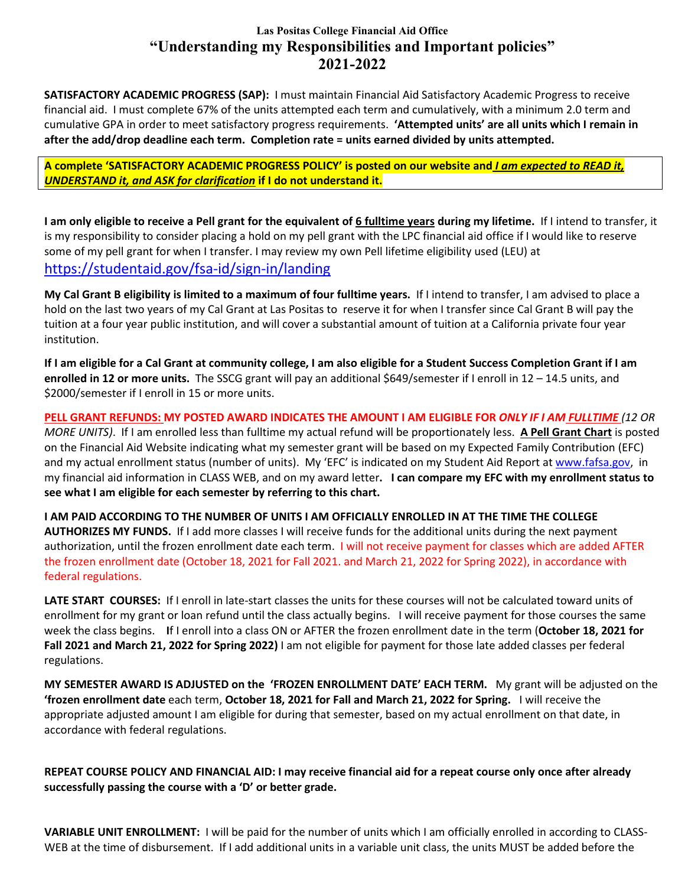## **Las Positas College Financial Aid Office "Understanding my Responsibilities and Important policies" 2021-2022**

**SATISFACTORY ACADEMIC PROGRESS (SAP):** I must maintain Financial Aid Satisfactory Academic Progress to receive financial aid. I must complete 67% of the units attempted each term and cumulatively, with a minimum 2.0 term and cumulative GPA in order to meet satisfactory progress requirements. **'Attempted units' are all units which I remain in after the add/drop deadline each term. Completion rate = units earned divided by units attempted.**

**A complete 'SATISFACTORY ACADEMIC PROGRESS POLICY' is posted on our website and** *I am expected to READ it, UNDERSTAND it, and ASK for clarification* **if I do not understand it.** 

**I am only eligible to receive a Pell grant for the equivalent of 6 fulltime years during my lifetime.** If I intend to transfer, it is my responsibility to consider placing a hold on my pell grant with the LPC financial aid office if I would like to reserve some of my pell grant for when I transfer. I may review my own Pell lifetime eligibility used (LEU) at <https://studentaid.gov/fsa-id/sign-in/landing>

**My Cal Grant B eligibility is limited to a maximum of four fulltime years.** If I intend to transfer, I am advised to place a hold on the last two years of my Cal Grant at Las Positas to reserve it for when I transfer since Cal Grant B will pay the tuition at a four year public institution, and will cover a substantial amount of tuition at a California private four year institution.

**If I am eligible for a Cal Grant at community college, I am also eligible for a Student Success Completion Grant if I am enrolled in 12 or more units.** The SSCG grant will pay an additional \$649/semester if I enroll in 12 – 14.5 units, and \$2000/semester if I enroll in 15 or more units.

**PELL GRANT REFUNDS: MY POSTED AWARD INDICATES THE AMOUNT I AM ELIGIBLE FOR** *ONLY IF I AM FULLTIME (12 OR MORE UNITS)*. If I am enrolled less than fulltime my actual refund will be proportionately less. **A Pell Grant Chart** is posted on the Financial Aid Website indicating what my semester grant will be based on my Expected Family Contribution (EFC) and my actual enrollment status (number of units). My 'EFC' is indicated on my Student Aid Report a[t www.fafsa.gov,](http://www.fafsa.gov/) in my financial aid information in CLASS WEB, and on my award letter**. I can compare my EFC with my enrollment status to see what I am eligible for each semester by referring to this chart.**

**I AM PAID ACCORDING TO THE NUMBER OF UNITS I AM OFFICIALLY ENROLLED IN AT THE TIME THE COLLEGE AUTHORIZES MY FUNDS.** If I add more classes I will receive funds for the additional units during the next payment authorization, until the frozen enrollment date each term. I will not receive payment for classes which are added AFTER the frozen enrollment date (October 18, 2021 for Fall 2021. and March 21, 2022 for Spring 2022), in accordance with federal regulations.

**LATE START COURSES:** If I enroll in late-start classes the units for these courses will not be calculated toward units of enrollment for my grant or loan refund until the class actually begins. I will receive payment for those courses the same week the class begins. **I**f I enroll into a class ON or AFTER the frozen enrollment date in the term (**October 18, 2021 for Fall 2021 and March 21, 2022 for Spring 2022)** I am not eligible for payment for those late added classes per federal regulations.

**MY SEMESTER AWARD IS ADJUSTED on the 'FROZEN ENROLLMENT DATE' EACH TERM.** My grant will be adjusted on the **'frozen enrollment date** each term, **October 18, 2021 for Fall and March 21, 2022 for Spring.** I will receive the appropriate adjusted amount I am eligible for during that semester, based on my actual enrollment on that date, in accordance with federal regulations.

**REPEAT COURSE POLICY AND FINANCIAL AID: I may receive financial aid for a repeat course only once after already successfully passing the course with a 'D' or better grade.** 

**VARIABLE UNIT ENROLLMENT:** I will be paid for the number of units which I am officially enrolled in according to CLASS-WEB at the time of disbursement. If I add additional units in a variable unit class, the units MUST be added before the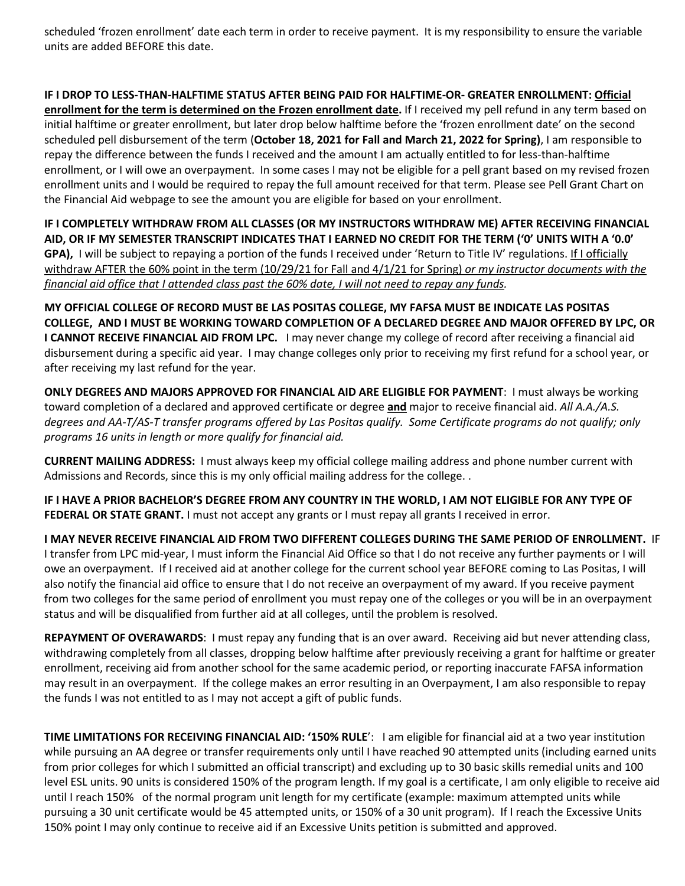scheduled 'frozen enrollment' date each term in order to receive payment. It is my responsibility to ensure the variable units are added BEFORE this date.

**IF I DROP TO LESS-THAN-HALFTIME STATUS AFTER BEING PAID FOR HALFTIME-OR- GREATER ENROLLMENT: Official enrollment for the term is determined on the Frozen enrollment date.** If I received my pell refund in any term based on initial halftime or greater enrollment, but later drop below halftime before the 'frozen enrollment date' on the second scheduled pell disbursement of the term (**October 18, 2021 for Fall and March 21, 2022 for Spring)**, I am responsible to repay the difference between the funds I received and the amount I am actually entitled to for less-than-halftime enrollment, or I will owe an overpayment. In some cases I may not be eligible for a pell grant based on my revised frozen enrollment units and I would be required to repay the full amount received for that term. Please see Pell Grant Chart on the Financial Aid webpage to see the amount you are eligible for based on your enrollment.

**IF I COMPLETELY WITHDRAW FROM ALL CLASSES (OR MY INSTRUCTORS WITHDRAW ME) AFTER RECEIVING FINANCIAL AID, OR IF MY SEMESTER TRANSCRIPT INDICATES THAT I EARNED NO CREDIT FOR THE TERM ('0' UNITS WITH A '0.0' GPA),** I will be subject to repaying a portion of the funds I received under 'Return to Title IV' regulations. If I officially withdraw AFTER the 60% point in the term (10/29/21 for Fall and 4/1/21 for Spring) *or my instructor documents with the financial aid office that I attended class past the 60% date, I will not need to repay any funds.*

**MY OFFICIAL COLLEGE OF RECORD MUST BE LAS POSITAS COLLEGE, MY FAFSA MUST BE INDICATE LAS POSITAS COLLEGE, AND I MUST BE WORKING TOWARD COMPLETION OF A DECLARED DEGREE AND MAJOR OFFERED BY LPC, OR I CANNOT RECEIVE FINANCIAL AID FROM LPC.** I may never change my college of record after receiving a financial aid disbursement during a specific aid year. I may change colleges only prior to receiving my first refund for a school year, or after receiving my last refund for the year.

**ONLY DEGREES AND MAJORS APPROVED FOR FINANCIAL AID ARE ELIGIBLE FOR PAYMENT**: I must always be working toward completion of a declared and approved certificate or degree **and** major to receive financial aid. *All A.A./A.S. degrees and AA-T/AS-T transfer programs offered by Las Positas qualify. Some Certificate programs do not qualify; only programs 16 units in length or more qualify for financial aid.* 

**CURRENT MAILING ADDRESS:** I must always keep my official college mailing address and phone number current with Admissions and Records, since this is my only official mailing address for the college. .

**IF I HAVE A PRIOR BACHELOR'S DEGREE FROM ANY COUNTRY IN THE WORLD, I AM NOT ELIGIBLE FOR ANY TYPE OF FEDERAL OR STATE GRANT.** I must not accept any grants or I must repay all grants I received in error.

**I MAY NEVER RECEIVE FINANCIAL AID FROM TWO DIFFERENT COLLEGES DURING THE SAME PERIOD OF ENROLLMENT.** IF I transfer from LPC mid-year, I must inform the Financial Aid Office so that I do not receive any further payments or I will owe an overpayment. If I received aid at another college for the current school year BEFORE coming to Las Positas, I will also notify the financial aid office to ensure that I do not receive an overpayment of my award. If you receive payment from two colleges for the same period of enrollment you must repay one of the colleges or you will be in an overpayment status and will be disqualified from further aid at all colleges, until the problem is resolved.

**REPAYMENT OF OVERAWARDS**: I must repay any funding that is an over award. Receiving aid but never attending class, withdrawing completely from all classes, dropping below halftime after previously receiving a grant for halftime or greater enrollment, receiving aid from another school for the same academic period, or reporting inaccurate FAFSA information may result in an overpayment. If the college makes an error resulting in an Overpayment, I am also responsible to repay the funds I was not entitled to as I may not accept a gift of public funds.

**TIME LIMITATIONS FOR RECEIVING FINANCIAL AID: '150% RULE**': I am eligible for financial aid at a two year institution while pursuing an AA degree or transfer requirements only until I have reached 90 attempted units (including earned units from prior colleges for which I submitted an official transcript) and excluding up to 30 basic skills remedial units and 100 level ESL units. 90 units is considered 150% of the program length. If my goal is a certificate, I am only eligible to receive aid until I reach 150% of the normal program unit length for my certificate (example: maximum attempted units while pursuing a 30 unit certificate would be 45 attempted units, or 150% of a 30 unit program). If I reach the Excessive Units 150% point I may only continue to receive aid if an Excessive Units petition is submitted and approved.